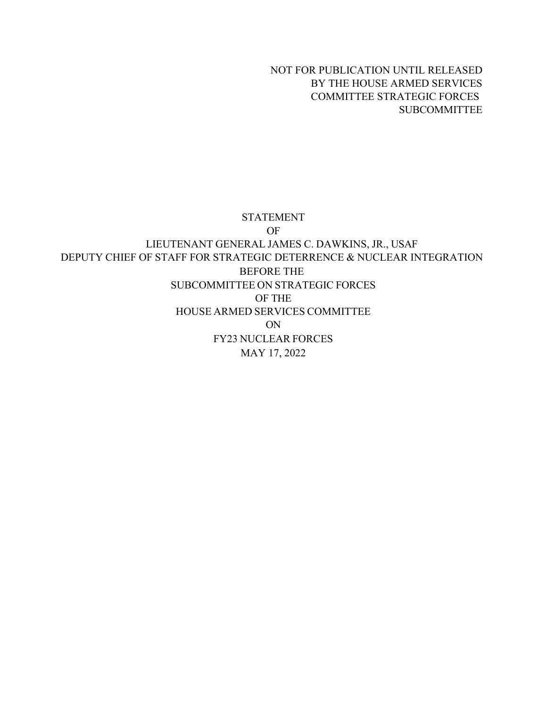NOT FOR PUBLICATION UNTIL RELEASED BY THE HOUSE ARMED SERVICES COMMITTEE STRATEGIC FORCES SUBCOMMITTEE

#### STATEMENT

OF LIEUTENANT GENERAL JAMES C. DAWKINS, JR., USAF DEPUTY CHIEF OF STAFF FOR STRATEGIC DETERRENCE & NUCLEAR INTEGRATION BEFORE THE SUBCOMMITTEE ON STRATEGIC FORCES OF THE HOUSE ARMED SERVICES COMMITTEE ON FY23 NUCLEAR FORCES MAY 17, 2022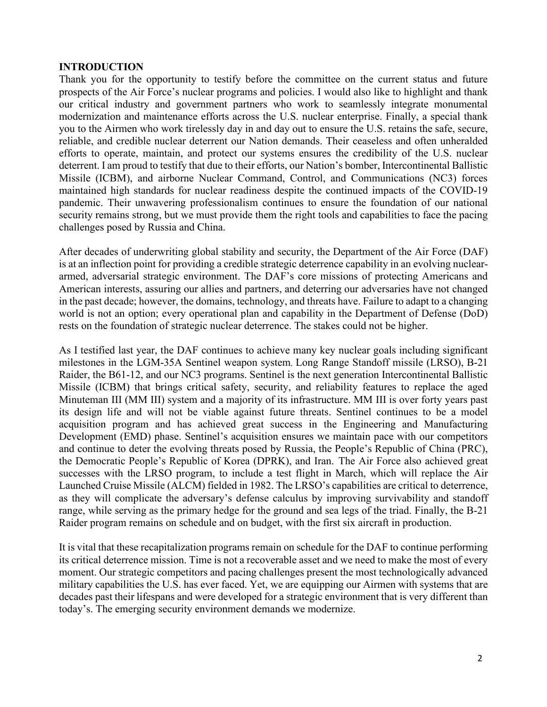#### **INTRODUCTION**

Thank you for the opportunity to testify before the committee on the current status and future prospects of the Air Force's nuclear programs and policies. I would also like to highlight and thank our critical industry and government partners who work to seamlessly integrate monumental modernization and maintenance efforts across the U.S. nuclear enterprise. Finally, a special thank you to the Airmen who work tirelessly day in and day out to ensure the U.S. retains the safe, secure, reliable, and credible nuclear deterrent our Nation demands. Their ceaseless and often unheralded efforts to operate, maintain, and protect our systems ensures the credibility of the U.S. nuclear deterrent. I am proud to testify that due to their efforts, our Nation's bomber, Intercontinental Ballistic Missile (ICBM), and airborne Nuclear Command, Control, and Communications (NC3) forces maintained high standards for nuclear readiness despite the continued impacts of the COVID-19 pandemic. Their unwavering professionalism continues to ensure the foundation of our national security remains strong, but we must provide them the right tools and capabilities to face the pacing challenges posed by Russia and China.

After decades of underwriting global stability and security, the Department of the Air Force (DAF) is at an inflection point for providing a credible strategic deterrence capability in an evolving nucleararmed, adversarial strategic environment. The DAF's core missions of protecting Americans and American interests, assuring our allies and partners, and deterring our adversaries have not changed in the past decade; however, the domains, technology, and threats have. Failure to adapt to a changing world is not an option; every operational plan and capability in the Department of Defense (DoD) rests on the foundation of strategic nuclear deterrence. The stakes could not be higher.

As I testified last year, the DAF continues to achieve many key nuclear goals including significant milestones in the LGM-35A Sentinel weapon system, Long Range Standoff missile (LRSO), B-21 Raider, the B61-12, and our NC3 programs. Sentinel is the next generation Intercontinental Ballistic Missile (ICBM) that brings critical safety, security, and reliability features to replace the aged Minuteman III (MM III) system and a majority of its infrastructure. MM III is over forty years past its design life and will not be viable against future threats. Sentinel continues to be a model acquisition program and has achieved great success in the Engineering and Manufacturing Development (EMD) phase. Sentinel's acquisition ensures we maintain pace with our competitors and continue to deter the evolving threats posed by Russia, the People's Republic of China (PRC), the Democratic People's Republic of Korea (DPRK), and Iran. The Air Force also achieved great successes with the LRSO program, to include a test flight in March, which will replace the Air Launched Cruise Missile (ALCM) fielded in 1982. The LRSO's capabilities are critical to deterrence, as they will complicate the adversary's defense calculus by improving survivability and standoff range, while serving as the primary hedge for the ground and sea legs of the triad. Finally, the B-21 Raider program remains on schedule and on budget, with the first six aircraft in production.

It is vital that these recapitalization programs remain on schedule for the DAF to continue performing its critical deterrence mission. Time is not a recoverable asset and we need to make the most of every moment. Our strategic competitors and pacing challenges present the most technologically advanced military capabilities the U.S. has ever faced. Yet, we are equipping our Airmen with systems that are decades past their lifespans and were developed for a strategic environment that is very different than today's. The emerging security environment demands we modernize.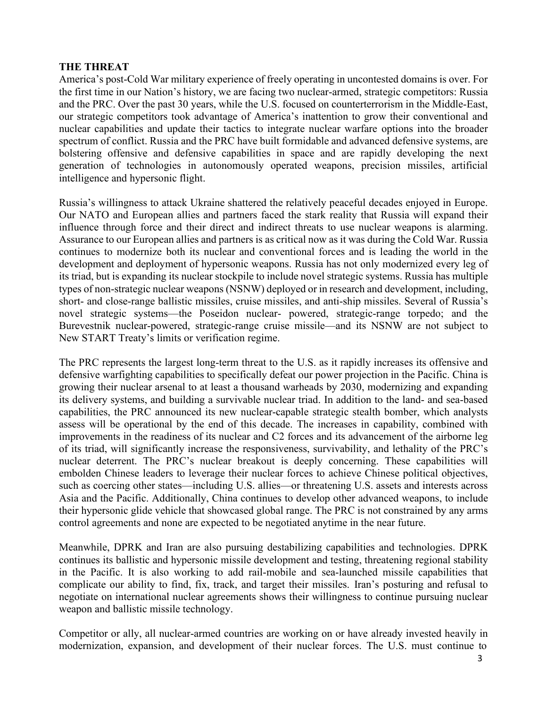#### **THE THREAT**

America's post-Cold War military experience of freely operating in uncontested domains is over. For the first time in our Nation's history, we are facing two nuclear-armed, strategic competitors: Russia and the PRC. Over the past 30 years, while the U.S. focused on counterterrorism in the Middle-East, our strategic competitors took advantage of America's inattention to grow their conventional and nuclear capabilities and update their tactics to integrate nuclear warfare options into the broader spectrum of conflict. Russia and the PRC have built formidable and advanced defensive systems, are bolstering offensive and defensive capabilities in space and are rapidly developing the next generation of technologies in autonomously operated weapons, precision missiles, artificial intelligence and hypersonic flight.

Russia's willingness to attack Ukraine shattered the relatively peaceful decades enjoyed in Europe. Our NATO and European allies and partners faced the stark reality that Russia will expand their influence through force and their direct and indirect threats to use nuclear weapons is alarming. Assurance to our European allies and partners is as critical now as it was during the Cold War. Russia continues to modernize both its nuclear and conventional forces and is leading the world in the development and deployment of hypersonic weapons. Russia has not only modernized every leg of its triad, but is expanding its nuclear stockpile to include novel strategic systems. Russia has multiple types of non-strategic nuclear weapons (NSNW) deployed or in research and development, including, short- and close-range ballistic missiles, cruise missiles, and anti-ship missiles. Several of Russia's novel strategic systems—the Poseidon nuclear- powered, strategic-range torpedo; and the Burevestnik nuclear-powered, strategic-range cruise missile—and its NSNW are not subject to New START Treaty's limits or verification regime.

The PRC represents the largest long-term threat to the U.S. as it rapidly increases its offensive and defensive warfighting capabilities to specifically defeat our power projection in the Pacific. China is growing their nuclear arsenal to at least a thousand warheads by 2030, modernizing and expanding its delivery systems, and building a survivable nuclear triad. In addition to the land- and sea-based capabilities, the PRC announced its new nuclear-capable strategic stealth bomber, which analysts assess will be operational by the end of this decade. The increases in capability, combined with improvements in the readiness of its nuclear and C2 forces and its advancement of the airborne leg of its triad, will significantly increase the responsiveness, survivability, and lethality of the PRC's nuclear deterrent. The PRC's nuclear breakout is deeply concerning. These capabilities will embolden Chinese leaders to leverage their nuclear forces to achieve Chinese political objectives, such as coercing other states—including U.S. allies—or threatening U.S. assets and interests across Asia and the Pacific. Additionally, China continues to develop other advanced weapons, to include their hypersonic glide vehicle that showcased global range. The PRC is not constrained by any arms control agreements and none are expected to be negotiated anytime in the near future.

Meanwhile, DPRK and Iran are also pursuing destabilizing capabilities and technologies. DPRK continues its ballistic and hypersonic missile development and testing, threatening regional stability in the Pacific. It is also working to add rail-mobile and sea-launched missile capabilities that complicate our ability to find, fix, track, and target their missiles. Iran's posturing and refusal to negotiate on international nuclear agreements shows their willingness to continue pursuing nuclear weapon and ballistic missile technology.

Competitor or ally, all nuclear-armed countries are working on or have already invested heavily in modernization, expansion, and development of their nuclear forces. The U.S. must continue to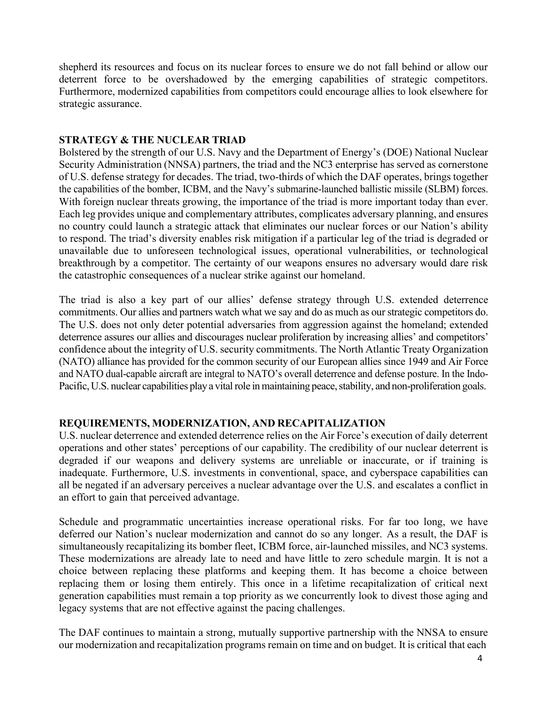shepherd its resources and focus on its nuclear forces to ensure we do not fall behind or allow our deterrent force to be overshadowed by the emerging capabilities of strategic competitors. Furthermore, modernized capabilities from competitors could encourage allies to look elsewhere for strategic assurance.

## **STRATEGY & THE NUCLEAR TRIAD**

Bolstered by the strength of our U.S. Navy and the Department of Energy's (DOE) National Nuclear Security Administration (NNSA) partners, the triad and the NC3 enterprise has served as cornerstone of U.S. defense strategy for decades. The triad, two-thirds of which the DAF operates, brings together the capabilities of the bomber, ICBM, and the Navy's submarine-launched ballistic missile (SLBM) forces. With foreign nuclear threats growing, the importance of the triad is more important today than ever. Each leg provides unique and complementary attributes, complicates adversary planning, and ensures no country could launch a strategic attack that eliminates our nuclear forces or our Nation's ability to respond. The triad's diversity enables risk mitigation if a particular leg of the triad is degraded or unavailable due to unforeseen technological issues, operational vulnerabilities, or technological breakthrough by a competitor. The certainty of our weapons ensures no adversary would dare risk the catastrophic consequences of a nuclear strike against our homeland.

The triad is also a key part of our allies' defense strategy through U.S. extended deterrence commitments. Our allies and partners watch what we say and do as much as our strategic competitors do. The U.S. does not only deter potential adversaries from aggression against the homeland; extended deterrence assures our allies and discourages nuclear proliferation by increasing allies' and competitors' confidence about the integrity of U.S. security commitments. The North Atlantic Treaty Organization (NATO) alliance has provided for the common security of our European allies since 1949 and Air Force and NATO dual-capable aircraft are integral to NATO's overall deterrence and defense posture. In the Indo-Pacific, U.S. nuclear capabilities play a vital role in maintaining peace, stability, and non-proliferation goals.

### **REQUIREMENTS, MODERNIZATION, AND RECAPITALIZATION**

U.S. nuclear deterrence and extended deterrence relies on the Air Force's execution of daily deterrent operations and other states' perceptions of our capability. The credibility of our nuclear deterrent is degraded if our weapons and delivery systems are unreliable or inaccurate, or if training is inadequate. Furthermore, U.S. investments in conventional, space, and cyberspace capabilities can all be negated if an adversary perceives a nuclear advantage over the U.S. and escalates a conflict in an effort to gain that perceived advantage.

Schedule and programmatic uncertainties increase operational risks. For far too long, we have deferred our Nation's nuclear modernization and cannot do so any longer. As a result, the DAF is simultaneously recapitalizing its bomber fleet, ICBM force, air-launched missiles, and NC3 systems. These modernizations are already late to need and have little to zero schedule margin. It is not a choice between replacing these platforms and keeping them. It has become a choice between replacing them or losing them entirely. This once in a lifetime recapitalization of critical next generation capabilities must remain a top priority as we concurrently look to divest those aging and legacy systems that are not effective against the pacing challenges.

The DAF continues to maintain a strong, mutually supportive partnership with the NNSA to ensure our modernization and recapitalization programs remain on time and on budget. It is critical that each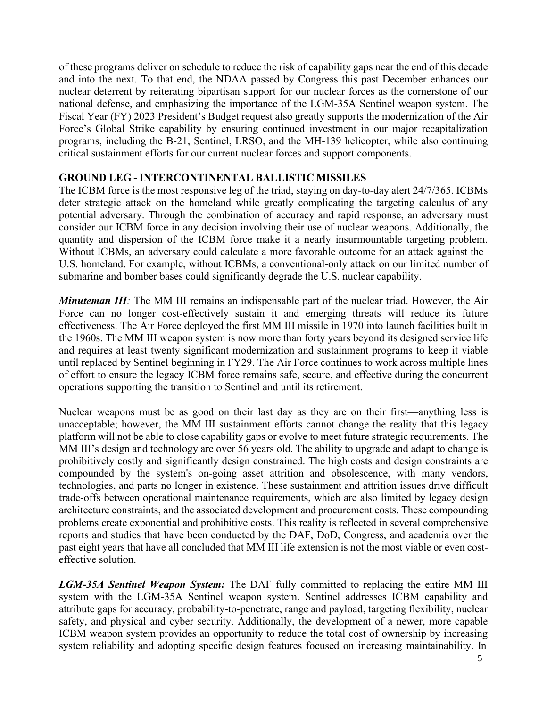of these programs deliver on schedule to reduce the risk of capability gaps near the end of this decade and into the next. To that end, the NDAA passed by Congress this past December enhances our nuclear deterrent by reiterating bipartisan support for our nuclear forces as the cornerstone of our national defense, and emphasizing the importance of the LGM-35A Sentinel weapon system. The Fiscal Year (FY) 2023 President's Budget request also greatly supports the modernization of the Air Force's Global Strike capability by ensuring continued investment in our major recapitalization programs, including the B-21, Sentinel, LRSO, and the MH-139 helicopter, while also continuing critical sustainment efforts for our current nuclear forces and support components.

### **GROUND LEG - INTERCONTINENTAL BALLISTIC MISSILES**

The ICBM force is the most responsive leg of the triad, staying on day-to-day alert 24/7/365. ICBMs deter strategic attack on the homeland while greatly complicating the targeting calculus of any potential adversary. Through the combination of accuracy and rapid response, an adversary must consider our ICBM force in any decision involving their use of nuclear weapons. Additionally, the quantity and dispersion of the ICBM force make it a nearly insurmountable targeting problem. Without ICBMs, an adversary could calculate a more favorable outcome for an attack against the U.S. homeland. For example, without ICBMs, a conventional-only attack on our limited number of submarine and bomber bases could significantly degrade the U.S. nuclear capability.

*Minuteman III*: The MM III remains an indispensable part of the nuclear triad. However, the Air Force can no longer cost-effectively sustain it and emerging threats will reduce its future effectiveness. The Air Force deployed the first MM III missile in 1970 into launch facilities built in the 1960s. The MM III weapon system is now more than forty years beyond its designed service life and requires at least twenty significant modernization and sustainment programs to keep it viable until replaced by Sentinel beginning in FY29. The Air Force continues to work across multiple lines of effort to ensure the legacy ICBM force remains safe, secure, and effective during the concurrent operations supporting the transition to Sentinel and until its retirement.

Nuclear weapons must be as good on their last day as they are on their first—anything less is unacceptable; however, the MM III sustainment efforts cannot change the reality that this legacy platform will not be able to close capability gaps or evolve to meet future strategic requirements. The MM III's design and technology are over 56 years old. The ability to upgrade and adapt to change is prohibitively costly and significantly design constrained. The high costs and design constraints are compounded by the system's on-going asset attrition and obsolescence, with many vendors, technologies, and parts no longer in existence. These sustainment and attrition issues drive difficult trade-offs between operational maintenance requirements, which are also limited by legacy design architecture constraints, and the associated development and procurement costs. These compounding problems create exponential and prohibitive costs. This reality is reflected in several comprehensive reports and studies that have been conducted by the DAF, DoD, Congress, and academia over the past eight years that have all concluded that MM III life extension is not the most viable or even costeffective solution.

*LGM-35A Sentinel Weapon System:* The DAF fully committed to replacing the entire MM III system with the LGM-35A Sentinel weapon system. Sentinel addresses ICBM capability and attribute gaps for accuracy, probability-to-penetrate, range and payload, targeting flexibility, nuclear safety, and physical and cyber security. Additionally, the development of a newer, more capable ICBM weapon system provides an opportunity to reduce the total cost of ownership by increasing system reliability and adopting specific design features focused on increasing maintainability. In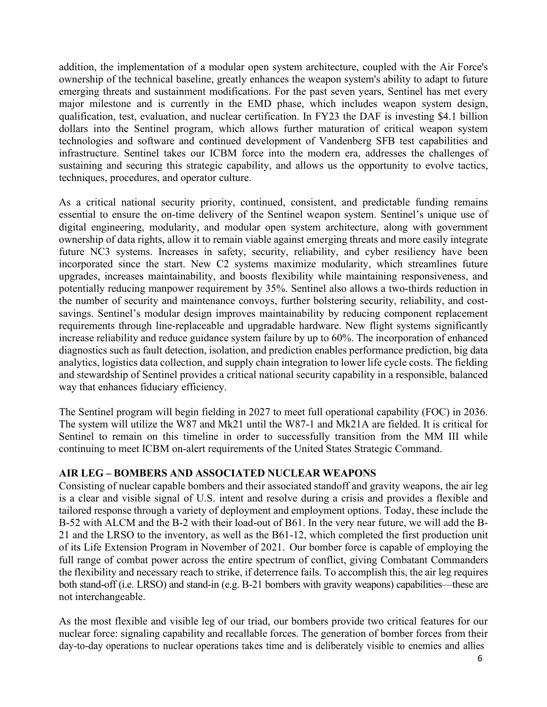addition, the implementation of a modular open system architecture, coupled with the Air Force's ownership of the technical baseline, greatly enhances the weapon system's ability to adapt to future emerging threats and sustainment modifications. For the past seven years, Sentinel has met every major milestone and is currently in the EMD phase, which includes weapon system design, qualification, test, evaluation, and nuclear certification. In FY23 the DAF is investing \$4.1 billion dollars into the Sentinel program, which allows further maturation of critical weapon system technologies and software and continued development of Vandenberg SFB test capabilities and infrastructure. Sentinel takes our ICBM force into the modern era, addresses the challenges of sustaining and securing this strategic capability, and allows us the opportunity to evolve tactics, techniques, procedures, and operator culture.

As a critical national security priority, continued, consistent, and predictable funding remains essential to ensure the on-time delivery of the Sentinel weapon system. Sentinel's unique use of digital engineering, modularity, and modular open system architecture, along with government ownership of data rights, allow it to remain viable against emerging threats and more easily integrate future NC3 systems. Increases in safety, security, reliability, and cyber resiliency have been incorporated since the start. New C2 systems maximize modularity, which streamlines future upgrades, increases maintainability, and boosts flexibility while maintaining responsiveness, and potentially reducing manpower requirement by 35%. Sentinel also allows a two-thirds reduction in the number of security and maintenance convoys, further bolstering security, reliability, and costsavings. Sentinel's modular design improves maintainability by reducing component replacement requirements through line-replaceable and upgradable hardware. New flight systems significantly increase reliability and reduce guidance system failure by up to 60%. The incorporation of enhanced diagnostics such as fault detection, isolation, and prediction enables performance prediction, big data analytics, logistics data collection, and supply chain integration to lower life cycle costs. The fielding and stewardship of Sentinel provides a critical national security capability in a responsible, balanced way that enhances fiduciary efficiency.

The Sentinel program will begin fielding in 2027 to meet full operational capability (FOC) in 2036. The system will utilize the W87 and Mk21 until the W87-1 and Mk21A are fielded. It is critical for Sentinel to remain on this timeline in order to successfully transition from the MM III while continuing to meet ICBM on-alert requirements of the United States Strategic Command.

### **AIR LEG – BOMBERS AND ASSOCIATED NUCLEAR WEAPONS**

Consisting of nuclear capable bombers and their associated standoff and gravity weapons, the air leg is a clear and visible signal of U.S. intent and resolve during a crisis and provides a flexible and tailored response through a variety of deployment and employment options. Today, these include the B-52 with ALCM and the B-2 with their load-out of B61. In the very near future, we will add the B-21 and the LRSO to the inventory, as well as the B61-12, which completed the first production unit of its Life Extension Program in November of 2021. Our bomber force is capable of employing the full range of combat power across the entire spectrum of conflict, giving Combatant Commanders the flexibility and necessary reach to strike, if deterrence fails. To accomplish this, the air leg requires both stand-off (i.e. LRSO) and stand-in (e.g. B-21 bombers with gravity weapons) capabilities—these are not interchangeable.

As the most flexible and visible leg of our triad, our bombers provide two critical features for our nuclear force: signaling capability and recallable forces. The generation of bomber forces from their day-to-day operations to nuclear operations takes time and is deliberately visible to enemies and allies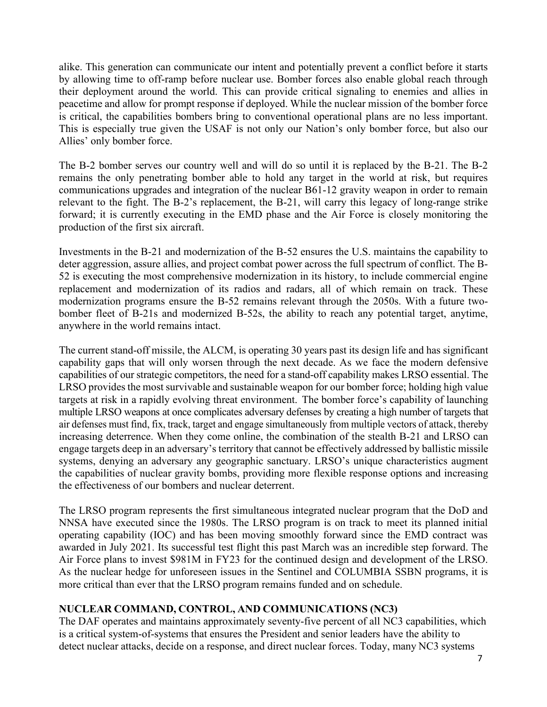alike. This generation can communicate our intent and potentially prevent a conflict before it starts by allowing time to off-ramp before nuclear use. Bomber forces also enable global reach through their deployment around the world. This can provide critical signaling to enemies and allies in peacetime and allow for prompt response if deployed. While the nuclear mission of the bomber force is critical, the capabilities bombers bring to conventional operational plans are no less important. This is especially true given the USAF is not only our Nation's only bomber force, but also our Allies' only bomber force.

The B-2 bomber serves our country well and will do so until it is replaced by the B-21. The B-2 remains the only penetrating bomber able to hold any target in the world at risk, but requires communications upgrades and integration of the nuclear B61-12 gravity weapon in order to remain relevant to the fight. The B-2's replacement, the B-21, will carry this legacy of long-range strike forward; it is currently executing in the EMD phase and the Air Force is closely monitoring the production of the first six aircraft.

Investments in the B-21 and modernization of the B-52 ensures the U.S. maintains the capability to deter aggression, assure allies, and project combat power across the full spectrum of conflict. The B-52 is executing the most comprehensive modernization in its history, to include commercial engine replacement and modernization of its radios and radars, all of which remain on track. These modernization programs ensure the B-52 remains relevant through the 2050s. With a future twobomber fleet of B-21s and modernized B-52s, the ability to reach any potential target, anytime, anywhere in the world remains intact.

The current stand-off missile, the ALCM, is operating 30 years past its design life and has significant capability gaps that will only worsen through the next decade. As we face the modern defensive capabilities of our strategic competitors, the need for a stand-off capability makes LRSO essential. The LRSO provides the most survivable and sustainable weapon for our bomber force; holding high value targets at risk in a rapidly evolving threat environment. The bomber force's capability of launching multiple LRSO weapons at once complicates adversary defenses by creating a high number of targets that air defenses must find, fix, track, target and engage simultaneously from multiple vectors of attack, thereby increasing deterrence. When they come online, the combination of the stealth B-21 and LRSO can engage targets deep in an adversary's territory that cannot be effectively addressed by ballistic missile systems, denying an adversary any geographic sanctuary. LRSO's unique characteristics augment the capabilities of nuclear gravity bombs, providing more flexible response options and increasing the effectiveness of our bombers and nuclear deterrent.

The LRSO program represents the first simultaneous integrated nuclear program that the DoD and NNSA have executed since the 1980s. The LRSO program is on track to meet its planned initial operating capability (IOC) and has been moving smoothly forward since the EMD contract was awarded in July 2021. Its successful test flight this past March was an incredible step forward. The Air Force plans to invest \$981M in FY23 for the continued design and development of the LRSO. As the nuclear hedge for unforeseen issues in the Sentinel and COLUMBIA SSBN programs, it is more critical than ever that the LRSO program remains funded and on schedule.

# **NUCLEAR COMMAND, CONTROL, AND COMMUNICATIONS (NC3)**

The DAF operates and maintains approximately seventy-five percent of all NC3 capabilities, which is a critical system-of-systems that ensures the President and senior leaders have the ability to detect nuclear attacks, decide on a response, and direct nuclear forces. Today, many NC3 systems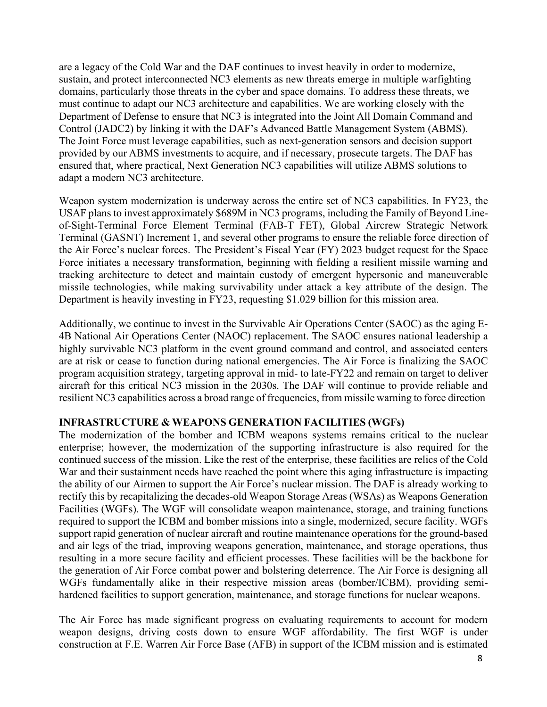are a legacy of the Cold War and the DAF continues to invest heavily in order to modernize, sustain, and protect interconnected NC3 elements as new threats emerge in multiple warfighting domains, particularly those threats in the cyber and space domains. To address these threats, we must continue to adapt our NC3 architecture and capabilities. We are working closely with the Department of Defense to ensure that NC3 is integrated into the Joint All Domain Command and Control (JADC2) by linking it with the DAF's Advanced Battle Management System (ABMS). The Joint Force must leverage capabilities, such as next-generation sensors and decision support provided by our ABMS investments to acquire, and if necessary, prosecute targets. The DAF has ensured that, where practical, Next Generation NC3 capabilities will utilize ABMS solutions to adapt a modern NC3 architecture.

Weapon system modernization is underway across the entire set of NC3 capabilities. In FY23, the USAF plans to invest approximately \$689M in NC3 programs, including the Family of Beyond Lineof-Sight-Terminal Force Element Terminal (FAB-T FET), Global Aircrew Strategic Network Terminal (GASNT) Increment 1, and several other programs to ensure the reliable force direction of the Air Force's nuclear forces. The President's Fiscal Year (FY) 2023 budget request for the Space Force initiates a necessary transformation, beginning with fielding a resilient missile warning and tracking architecture to detect and maintain custody of emergent hypersonic and maneuverable missile technologies, while making survivability under attack a key attribute of the design. The Department is heavily investing in FY23, requesting \$1.029 billion for this mission area.

Additionally, we continue to invest in the Survivable Air Operations Center (SAOC) as the aging E-4B National Air Operations Center (NAOC) replacement. The SAOC ensures national leadership a highly survivable NC3 platform in the event ground command and control, and associated centers are at risk or cease to function during national emergencies. The Air Force is finalizing the SAOC program acquisition strategy, targeting approval in mid- to late-FY22 and remain on target to deliver aircraft for this critical NC3 mission in the 2030s. The DAF will continue to provide reliable and resilient NC3 capabilities across a broad range of frequencies, from missile warning to force direction

### **INFRASTRUCTURE & WEAPONS GENERATION FACILITIES (WGFs)**

The modernization of the bomber and ICBM weapons systems remains critical to the nuclear enterprise; however, the modernization of the supporting infrastructure is also required for the continued success of the mission. Like the rest of the enterprise, these facilities are relics of the Cold War and their sustainment needs have reached the point where this aging infrastructure is impacting the ability of our Airmen to support the Air Force's nuclear mission. The DAF is already working to rectify this by recapitalizing the decades-old Weapon Storage Areas (WSAs) as Weapons Generation Facilities (WGFs). The WGF will consolidate weapon maintenance, storage, and training functions required to support the ICBM and bomber missions into a single, modernized, secure facility. WGFs support rapid generation of nuclear aircraft and routine maintenance operations for the ground-based and air legs of the triad, improving weapons generation, maintenance, and storage operations, thus resulting in a more secure facility and efficient processes. These facilities will be the backbone for the generation of Air Force combat power and bolstering deterrence. The Air Force is designing all WGFs fundamentally alike in their respective mission areas (bomber/ICBM), providing semihardened facilities to support generation, maintenance, and storage functions for nuclear weapons.

The Air Force has made significant progress on evaluating requirements to account for modern weapon designs, driving costs down to ensure WGF affordability. The first WGF is under construction at F.E. Warren Air Force Base (AFB) in support of the ICBM mission and is estimated